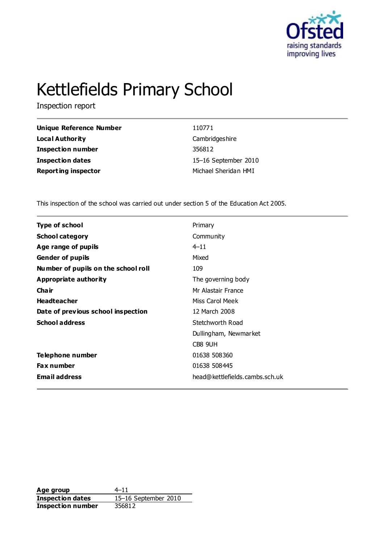

# Kettlefields Primary School

Inspection report

| 110771               |
|----------------------|
| Cambridgeshire       |
| 356812               |
| 15-16 September 2010 |
| Michael Sheridan HMI |
|                      |

This inspection of the school was carried out under section 5 of the Education Act 2005.

| <b>Type of school</b>               | Primary                        |
|-------------------------------------|--------------------------------|
| <b>School category</b>              | Community                      |
| Age range of pupils                 | $4 - 11$                       |
| <b>Gender of pupils</b>             | Mixed                          |
| Number of pupils on the school roll | 109                            |
| Appropriate authority               | The governing body             |
| Cha ir                              | Mr Alastair France             |
| <b>Headteacher</b>                  | Miss Carol Meek                |
| Date of previous school inspection  | 12 March 2008                  |
| <b>School address</b>               | Stetchworth Road               |
|                                     | Dullingham, Newmarket          |
|                                     | CB8 9UH                        |
| Telephone number                    | 01638 508360                   |
| <b>Fax number</b>                   | 01638 508445                   |
| <b>Email address</b>                | head@kettlefields.cambs.sch.uk |

**Age group** 4–11 **Inspection dates** 15–16 September 2010 **Inspection number** 356812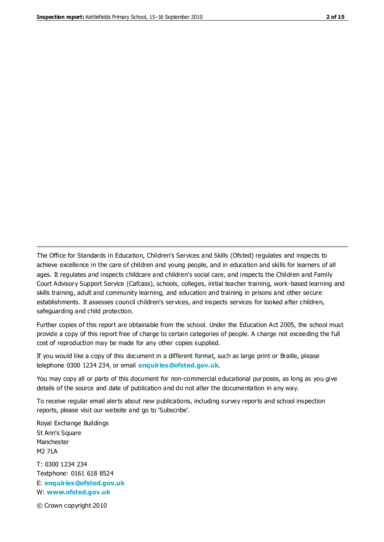The Office for Standards in Education, Children's Services and Skills (Ofsted) regulates and inspects to achieve excellence in the care of children and young people, and in education and skills for learners of all ages. It regulates and inspects childcare and children's social care, and inspects the Children and Family Court Advisory Support Service (Cafcass), schools, colleges, initial teacher training, work-based learning and skills training, adult and community learning, and education and training in prisons and other secure establishments. It assesses council children's services, and inspects services for looked after children, safeguarding and child protection.

Further copies of this report are obtainable from the school. Under the Education Act 2005, the school must provide a copy of this report free of charge to certain categories of people. A charge not exceeding the full cost of reproduction may be made for any other copies supplied.

If you would like a copy of this document in a different format, such as large print or Braille, please telephone 0300 1234 234, or email **[enquiries@ofsted.gov.uk](mailto:enquiries@ofsted.gov.uk)**.

You may copy all or parts of this document for non-commercial educational purposes, as long as you give details of the source and date of publication and do not alter the documentation in any way.

To receive regular email alerts about new publications, including survey reports and school inspection reports, please visit our website and go to 'Subscribe'.

Royal Exchange Buildings St Ann's Square Manchester M2 7LA T: 0300 1234 234 Textphone: 0161 618 8524 E: **[enquiries@ofsted.gov.uk](mailto:enquiries@ofsted.gov.uk)**

W: **[www.ofsted.gov.uk](http://www.ofsted.gov.uk/)**

© Crown copyright 2010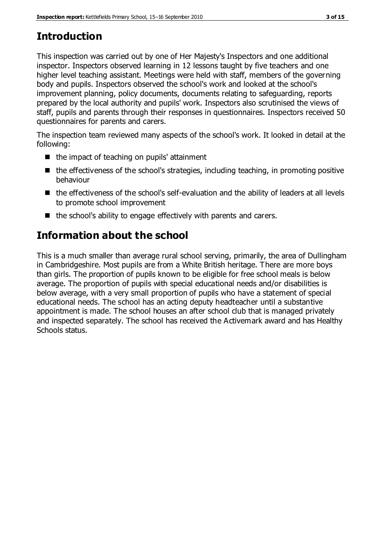# **Introduction**

This inspection was carried out by one of Her Majesty's Inspectors and one additional inspector. Inspectors observed learning in 12 lessons taught by five teachers and one higher level teaching assistant. Meetings were held with staff, members of the governing body and pupils. Inspectors observed the school's work and looked at the school's improvement planning, policy documents, documents relating to safeguarding, reports prepared by the local authority and pupils' work. Inspectors also scrutinised the views of staff, pupils and parents through their responses in questionnaires. Inspectors received 50 questionnaires for parents and carers.

The inspection team reviewed many aspects of the school's work. It looked in detail at the following:

- $\blacksquare$  the impact of teaching on pupils' attainment
- $\blacksquare$  the effectiveness of the school's strategies, including teaching, in promoting positive behaviour
- the effectiveness of the school's self-evaluation and the ability of leaders at all levels to promote school improvement
- $\blacksquare$  the school's ability to engage effectively with parents and carers.

# **Information about the school**

This is a much smaller than average rural school serving, primarily, the area of Dullingham in Cambridgeshire. Most pupils are from a White British heritage. There are more boys than girls. The proportion of pupils known to be eligible for free school meals is below average. The proportion of pupils with special educational needs and/or disabilities is below average, with a very small proportion of pupils who have a statement of special educational needs. The school has an acting deputy headteacher until a substantive appointment is made. The school houses an after school club that is managed privately and inspected separately. The school has received the Activemark award and has Healthy Schools status.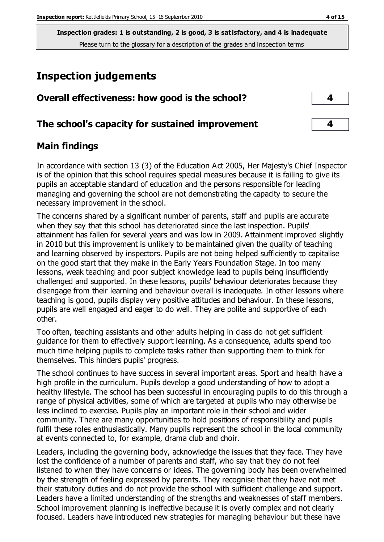# **Inspection judgements**

| Overall effectiveness: how good is the school?  |  |
|-------------------------------------------------|--|
| The school's capacity for sustained improvement |  |

#### **Main findings**

In accordance with section 13 (3) of the Education Act 2005, Her Majesty's Chief Inspector is of the opinion that this school requires special measures because it is failing to give its pupils an acceptable standard of education and the persons responsible for leading managing and governing the school are not demonstrating the capacity to secure the necessary improvement in the school.

The concerns shared by a significant number of parents, staff and pupils are accurate when they say that this school has deteriorated since the last inspection. Pupils' attainment has fallen for several years and was low in 2009. Attainment improved slightly in 2010 but this improvement is unlikely to be maintained given the quality of teaching and learning observed by inspectors. Pupils are not being helped sufficiently to capitalise on the good start that they make in the Early Years Foundation Stage. In too many lessons, weak teaching and poor subject knowledge lead to pupils being insufficiently challenged and supported. In these lessons, pupils' behaviour deteriorates because they disengage from their learning and behaviour overall is inadequate. In other lessons where teaching is good, pupils display very positive attitudes and behaviour. In these lessons, pupils are well engaged and eager to do well. They are polite and supportive of each other.

Too often, teaching assistants and other adults helping in class do not get sufficient guidance for them to effectively support learning. As a consequence, adults spend too much time helping pupils to complete tasks rather than supporting them to think for themselves. This hinders pupils' progress.

The school continues to have success in several important areas. Sport and health have a high profile in the curriculum. Pupils develop a good understanding of how to adopt a healthy lifestyle. The school has been successful in encouraging pupils to do this through a range of physical activities, some of which are targeted at pupils who may otherwise be less inclined to exercise. Pupils play an important role in their school and wider community. There are many opportunities to hold positions of responsibility and pupils fulfil these roles enthusiastically. Many pupils represent the school in the local community at events connected to, for example, drama club and choir.

Leaders, including the governing body, acknowledge the issues that they face. They have lost the confidence of a number of parents and staff, who say that they do not feel listened to when they have concerns or ideas. The governing body has been overwhelmed by the strength of feeling expressed by parents. They recognise that they have not met their statutory duties and do not provide the school with sufficient challenge and support. Leaders have a limited understanding of the strengths and weaknesses of staff members. School improvement planning is ineffective because it is overly complex and not clearly focused. Leaders have introduced new strategies for managing behaviour but these have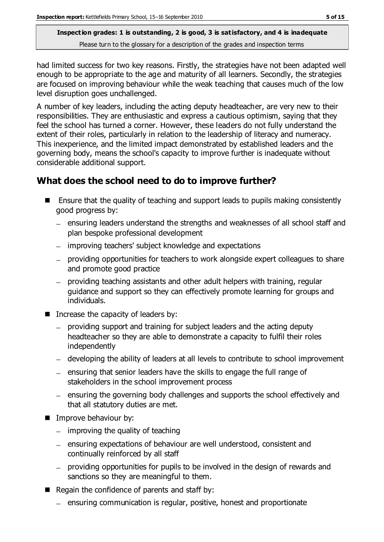had limited success for two key reasons. Firstly, the strategies have not been adapted well enough to be appropriate to the age and maturity of all learners. Secondly, the strategies are focused on improving behaviour while the weak teaching that causes much of the low level disruption goes unchallenged.

A number of key leaders, including the acting deputy headteacher, are very new to their responsibilities. They are enthusiastic and express a cautious optimism, saying that they feel the school has turned a corner. However, these leaders do not fully understand the extent of their roles, particularly in relation to the leadership of literacy and numeracy. This inexperience, and the limited impact demonstrated by established leaders and the governing body, means the school's capacity to improve further is inadequate without considerable additional support.

### **What does the school need to do to improve further?**

- **E** Ensure that the quality of teaching and support leads to pupils making consistently good progress by:
	- ensuring leaders understand the strengths and weaknesses of all school staff and plan bespoke professional development
	- improving teachers' subject knowledge and expectations
	- providing opportunities for teachers to work alongside expert colleagues to share and promote good practice
	- providing teaching assistants and other adult helpers with training, regular guidance and support so they can effectively promote learning for groups and individuals.
- $\blacksquare$  Increase the capacity of leaders by:
	- providing support and training for subject leaders and the acting deputy headteacher so they are able to demonstrate a capacity to fulfil their roles independently
	- developing the ability of leaders at all levels to contribute to school improvement
	- $=$  ensuring that senior leaders have the skills to engage the full range of stakeholders in the school improvement process
	- ensuring the governing body challenges and supports the school effectively and that all statutory duties are met.
- **IMPROVE behaviour by:** 
	- $-$  improving the quality of teaching
	- ensuring expectations of behaviour are well understood, consistent and continually reinforced by all staff
	- providing opportunities for pupils to be involved in the design of rewards and sanctions so they are meaningful to them.
- $\blacksquare$  Regain the confidence of parents and staff by:
	- ensuring communication is regular, positive, honest and proportionate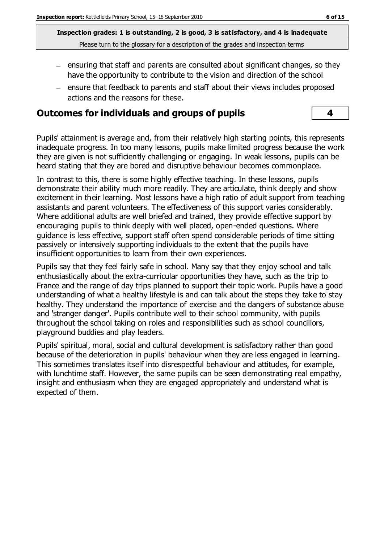- $-$  ensuring that staff and parents are consulted about significant changes, so they have the opportunity to contribute to the vision and direction of the school
- ensure that feedback to parents and staff about their views includes proposed actions and the reasons for these.

#### **Outcomes for individuals and groups of pupils 4**

Pupils' attainment is average and, from their relatively high starting points, this represents inadequate progress. In too many lessons, pupils make limited progress because the work they are given is not sufficiently challenging or engaging. In weak lessons, pupils can be heard stating that they are bored and disruptive behaviour becomes commonplace.

In contrast to this, there is some highly effective teaching. In these lessons, pupils demonstrate their ability much more readily. They are articulate, think deeply and show excitement in their learning. Most lessons have a high ratio of adult support from teaching assistants and parent volunteers. The effectiveness of this support varies considerably. Where additional adults are well briefed and trained, they provide effective support by encouraging pupils to think deeply with well placed, open-ended questions. Where guidance is less effective, support staff often spend considerable periods of time sitting passively or intensively supporting individuals to the extent that the pupils have insufficient opportunities to learn from their own experiences.

Pupils say that they feel fairly safe in school. Many say that they enjoy school and talk enthusiastically about the extra-curricular opportunities they have, such as the trip to France and the range of day trips planned to support their topic work. Pupils have a good understanding of what a healthy lifestyle is and can talk about the steps they take to stay healthy. They understand the importance of exercise and the dangers of substance abuse and 'stranger danger'. Pupils contribute well to their school community, with pupils throughout the school taking on roles and responsibilities such as school councillors, playground buddies and play leaders.

Pupils' spiritual, moral, social and cultural development is satisfactory rather than good because of the deterioration in pupils' behaviour when they are less engaged in learning. This sometimes translates itself into disrespectful behaviour and attitudes, for example, with lunchtime staff. However, the same pupils can be seen demonstrating real empathy, insight and enthusiasm when they are engaged appropriately and understand what is expected of them.

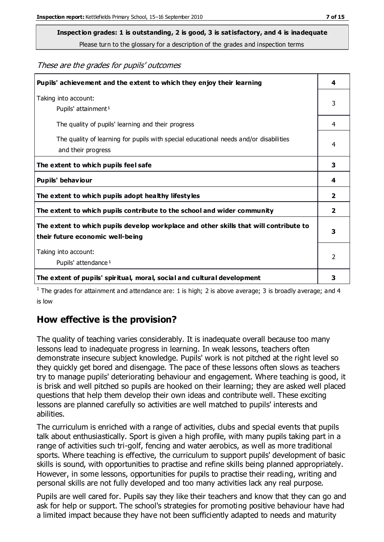# **Inspection grades: 1 is outstanding, 2 is good, 3 is satisfactory, and 4 is inadequate**

Please turn to the glossary for a description of the grades and inspection terms

#### These are the grades for pupils' outcomes

| Pupils' achievement and the extent to which they enjoy their learning                                                     | 4              |
|---------------------------------------------------------------------------------------------------------------------------|----------------|
| Taking into account:<br>Pupils' attainment <sup>1</sup>                                                                   | 3              |
| The quality of pupils' learning and their progress                                                                        | 4              |
| The quality of learning for pupils with special educational needs and/or disabilities<br>and their progress               | 4              |
| The extent to which pupils feel safe                                                                                      | 3              |
| Pupils' behaviour                                                                                                         | 4              |
| The extent to which pupils adopt healthy lifestyles                                                                       | 2              |
| The extent to which pupils contribute to the school and wider community                                                   | $\mathbf{2}$   |
| The extent to which pupils develop workplace and other skills that will contribute to<br>their future economic well-being |                |
| Taking into account:<br>Pupils' attendance <sup>1</sup>                                                                   | $\mathfrak{p}$ |
| The extent of pupils' spiritual, moral, social and cultural development                                                   | 3              |

<sup>1</sup> The grades for attainment and attendance are: 1 is high; 2 is above average; 3 is broadly average; and 4 is low

#### **How effective is the provision?**

The quality of teaching varies considerably. It is inadequate overall because too many lessons lead to inadequate progress in learning. In weak lessons, teachers often demonstrate insecure subject knowledge. Pupils' work is not pitched at the right level so they quickly get bored and disengage. The pace of these lessons often slows as teachers try to manage pupils' deteriorating behaviour and engagement. Where teaching is good, it is brisk and well pitched so pupils are hooked on their learning; they are asked well placed questions that help them develop their own ideas and contribute well. These exciting lessons are planned carefully so activities are well matched to pupils' interests and abilities.

The curriculum is enriched with a range of activities, clubs and special events that pupils talk about enthusiastically. Sport is given a high profile, with many pupils taking part in a range of activities such tri-golf, fencing and water aerobics, as well as more traditional sports. Where teaching is effective, the curriculum to support pupils' development of basic skills is sound, with opportunities to practise and refine skills being planned appropriately. However, in some lessons, opportunities for pupils to practise their reading, writing and personal skills are not fully developed and too many activities lack any real purpose.

Pupils are well cared for. Pupils say they like their teachers and know that they can go and ask for help or support. The school's strategies for promoting positive behaviour have had a limited impact because they have not been sufficiently adapted to needs and maturity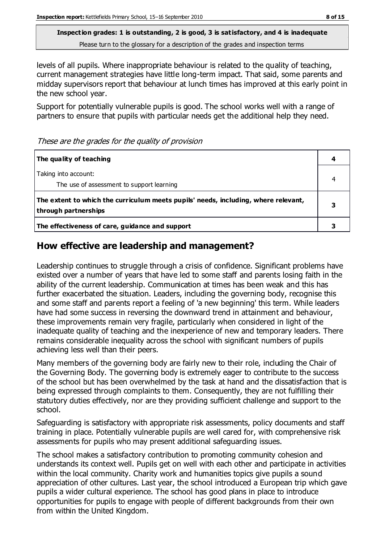levels of all pupils. Where inappropriate behaviour is related to the quality of teaching, current management strategies have little long-term impact. That said, some parents and midday supervisors report that behaviour at lunch times has improved at this early point in the new school year.

Support for potentially vulnerable pupils is good. The school works well with a range of partners to ensure that pupils with particular needs get the additional help they need.

These are the grades for the quality of provision

| The quality of teaching                                                                                    | 4 |
|------------------------------------------------------------------------------------------------------------|---|
| Taking into account:<br>The use of assessment to support learning                                          |   |
| The extent to which the curriculum meets pupils' needs, including, where relevant,<br>through partnerships |   |
| The effectiveness of care, guidance and support                                                            |   |

#### **How effective are leadership and management?**

Leadership continues to struggle through a crisis of confidence. Significant problems have existed over a number of years that have led to some staff and parents losing faith in the ability of the current leadership. Communication at times has been weak and this has further exacerbated the situation. Leaders, including the governing body, recognise this and some staff and parents report a feeling of 'a new beginning' this term. While leaders have had some success in reversing the downward trend in attainment and behaviour, these improvements remain very fragile, particularly when considered in light of the inadequate quality of teaching and the inexperience of new and temporary leaders. There remains considerable inequality across the school with significant numbers of pupils achieving less well than their peers.

Many members of the governing body are fairly new to their role, including the Chair of the Governing Body. The governing body is extremely eager to contribute to the success of the school but has been overwhelmed by the task at hand and the dissatisfaction that is being expressed through complaints to them. Consequently, they are not fulfilling their statutory duties effectively, nor are they providing sufficient challenge and support to the school.

Safeguarding is satisfactory with appropriate risk assessments, policy documents and staff training in place. Potentially vulnerable pupils are well cared for, with comprehensive risk assessments for pupils who may present additional safeguarding issues.

The school makes a satisfactory contribution to promoting community cohesion and understands its context well. Pupils get on well with each other and participate in activities within the local community. Charity work and humanities topics give pupils a sound appreciation of other cultures. Last year, the school introduced a European trip which gave pupils a wider cultural experience. The school has good plans in place to introduce opportunities for pupils to engage with people of different backgrounds from their own from within the United Kingdom.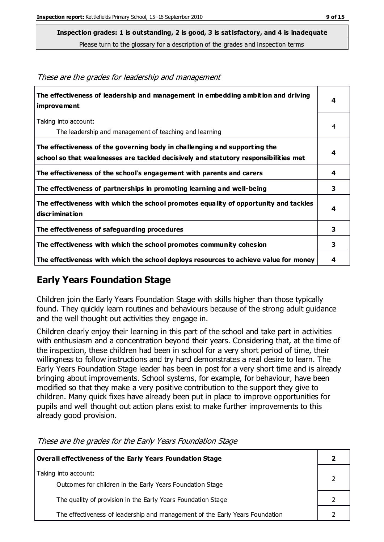**Inspection grades: 1 is outstanding, 2 is good, 3 is satisfactory, and 4 is inadequate**

Please turn to the glossary for a description of the grades and inspection terms

| The effectiveness of leadership and management in embedding ambition and driving<br>improvement                                                                  | 4 |
|------------------------------------------------------------------------------------------------------------------------------------------------------------------|---|
| Taking into account:<br>The leadership and management of teaching and learning                                                                                   | 4 |
| The effectiveness of the governing body in challenging and supporting the<br>school so that weaknesses are tackled decisively and statutory responsibilities met | 4 |
| The effectiveness of the school's engagement with parents and carers                                                                                             | 4 |
| The effectiveness of partnerships in promoting learning and well-being                                                                                           | 3 |
| The effectiveness with which the school promotes equality of opportunity and tackles<br>discrimination                                                           | 4 |
| The effectiveness of safeguarding procedures                                                                                                                     | 3 |
| The effectiveness with which the school promotes community cohesion                                                                                              | 3 |
| The effectiveness with which the school deploys resources to achieve value for money                                                                             | 4 |

These are the grades for leadership and management

#### **Early Years Foundation Stage**

Children join the Early Years Foundation Stage with skills higher than those typically found. They quickly learn routines and behaviours because of the strong adult guidance and the well thought out activities they engage in.

Children clearly enjoy their learning in this part of the school and take part in activities with enthusiasm and a concentration beyond their years. Considering that, at the time of the inspection, these children had been in school for a very short period of time, their willingness to follow instructions and try hard demonstrates a real desire to learn. The Early Years Foundation Stage leader has been in post for a very short time and is already bringing about improvements. School systems, for example, for behaviour, have been modified so that they make a very positive contribution to the support they give to children. Many quick fixes have already been put in place to improve opportunities for pupils and well thought out action plans exist to make further improvements to this already good provision.

| Overall effectiveness of the Early Years Foundation Stage                    |  |
|------------------------------------------------------------------------------|--|
| Taking into account:                                                         |  |
| Outcomes for children in the Early Years Foundation Stage                    |  |
| The quality of provision in the Early Years Foundation Stage                 |  |
| The effectiveness of leadership and management of the Early Years Foundation |  |

These are the grades for the Early Years Foundation Stage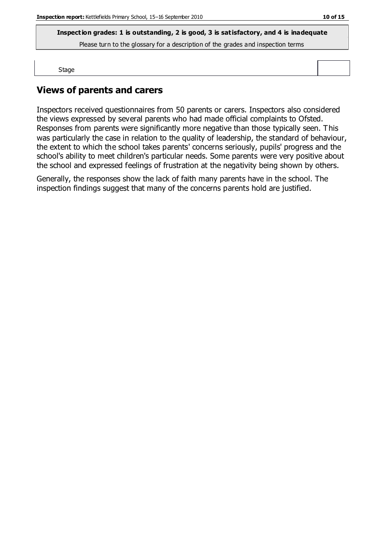**Inspection grades: 1 is outstanding, 2 is good, 3 is satisfactory, and 4 is inadequate**

Please turn to the glossary for a description of the grades and inspection terms

Stage

### **Views of parents and carers**

Inspectors received questionnaires from 50 parents or carers. Inspectors also considered the views expressed by several parents who had made official complaints to Ofsted. Responses from parents were significantly more negative than those typically seen. This was particularly the case in relation to the quality of leadership, the standard of behaviour, the extent to which the school takes parents' concerns seriously, pupils' progress and the school's ability to meet children's particular needs. Some parents were very positive about the school and expressed feelings of frustration at the negativity being shown by others.

Generally, the responses show the lack of faith many parents have in the school. The inspection findings suggest that many of the concerns parents hold are justified.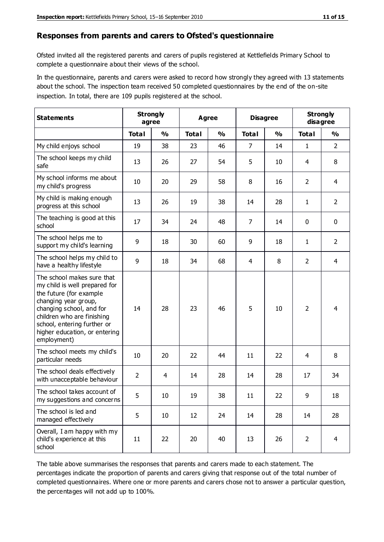#### **Responses from parents and carers to Ofsted's questionnaire**

Ofsted invited all the registered parents and carers of pupils registered at Kettlefields Primary School to complete a questionnaire about their views of the school.

In the questionnaire, parents and carers were asked to record how strongly they agreed with 13 statements about the school. The inspection team received 50 completed questionnaires by the end of the on-site inspection. In total, there are 109 pupils registered at the school.

| <b>Statements</b>                                                                                                                                                                                                                                       | <b>Strongly</b><br>agree |               |              | Agree         |                | <b>Disagree</b> |                | <b>Strongly</b><br>disagree |
|---------------------------------------------------------------------------------------------------------------------------------------------------------------------------------------------------------------------------------------------------------|--------------------------|---------------|--------------|---------------|----------------|-----------------|----------------|-----------------------------|
|                                                                                                                                                                                                                                                         | <b>Total</b>             | $\frac{0}{0}$ | <b>Total</b> | $\frac{0}{0}$ | <b>Total</b>   | $\frac{0}{0}$   | <b>Total</b>   | $\frac{1}{2}$               |
| My child enjoys school                                                                                                                                                                                                                                  | 19                       | 38            | 23           | 46            | $\overline{7}$ | 14              | $\mathbf{1}$   | $\overline{2}$              |
| The school keeps my child<br>safe                                                                                                                                                                                                                       | 13                       | 26            | 27           | 54            | 5              | 10              | 4              | 8                           |
| My school informs me about<br>my child's progress                                                                                                                                                                                                       | 10                       | 20            | 29           | 58            | 8              | 16              | $\overline{2}$ | $\overline{4}$              |
| My child is making enough<br>progress at this school                                                                                                                                                                                                    | 13                       | 26            | 19           | 38            | 14             | 28              | 1              | $\overline{2}$              |
| The teaching is good at this<br>school                                                                                                                                                                                                                  | 17                       | 34            | 24           | 48            | $\overline{7}$ | 14              | $\mathbf 0$    | $\mathbf 0$                 |
| The school helps me to<br>support my child's learning                                                                                                                                                                                                   | 9                        | 18            | 30           | 60            | 9              | 18              | 1              | $\overline{2}$              |
| The school helps my child to<br>have a healthy lifestyle                                                                                                                                                                                                | 9                        | 18            | 34           | 68            | 4              | 8               | $\overline{2}$ | $\overline{4}$              |
| The school makes sure that<br>my child is well prepared for<br>the future (for example<br>changing year group,<br>changing school, and for<br>children who are finishing<br>school, entering further or<br>higher education, or entering<br>employment) | 14                       | 28            | 23           | 46            | 5              | 10              | $\overline{2}$ | 4                           |
| The school meets my child's<br>particular needs                                                                                                                                                                                                         | 10                       | 20            | 22           | 44            | 11             | 22              | 4              | 8                           |
| The school deals effectively<br>with unacceptable behaviour                                                                                                                                                                                             | $\overline{2}$           | 4             | 14           | 28            | 14             | 28              | 17             | 34                          |
| The school takes account of<br>my suggestions and concerns                                                                                                                                                                                              | 5                        | 10            | 19           | 38            | 11             | 22              | 9              | 18                          |
| The school is led and<br>managed effectively                                                                                                                                                                                                            | 5                        | 10            | 12           | 24            | 14             | 28              | 14             | 28                          |
| Overall, I am happy with my<br>child's experience at this<br>school                                                                                                                                                                                     | 11                       | 22            | 20           | 40            | 13             | 26              | $\overline{2}$ | $\overline{4}$              |

The table above summarises the responses that parents and carers made to each statement. The percentages indicate the proportion of parents and carers giving that response out of the total number of completed questionnaires. Where one or more parents and carers chose not to answer a particular question, the percentages will not add up to 100%.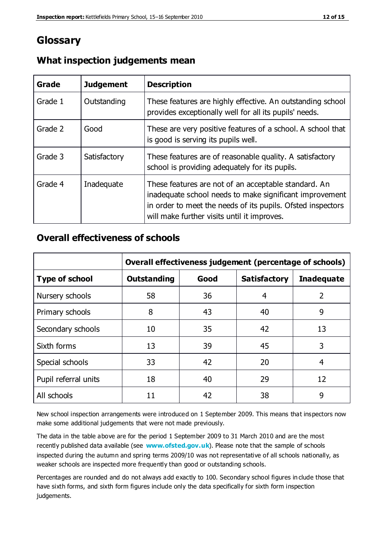## **Glossary**

| Grade   | <b>Judgement</b> | <b>Description</b>                                                                                                                                                                                                            |
|---------|------------------|-------------------------------------------------------------------------------------------------------------------------------------------------------------------------------------------------------------------------------|
| Grade 1 | Outstanding      | These features are highly effective. An outstanding school<br>provides exceptionally well for all its pupils' needs.                                                                                                          |
| Grade 2 | Good             | These are very positive features of a school. A school that<br>is good is serving its pupils well.                                                                                                                            |
| Grade 3 | Satisfactory     | These features are of reasonable quality. A satisfactory<br>school is providing adequately for its pupils.                                                                                                                    |
| Grade 4 | Inadequate       | These features are not of an acceptable standard. An<br>inadequate school needs to make significant improvement<br>in order to meet the needs of its pupils. Ofsted inspectors<br>will make further visits until it improves. |

#### **What inspection judgements mean**

#### **Overall effectiveness of schools**

|                       | Overall effectiveness judgement (percentage of schools) |      |                     |                   |
|-----------------------|---------------------------------------------------------|------|---------------------|-------------------|
| <b>Type of school</b> | <b>Outstanding</b>                                      | Good | <b>Satisfactory</b> | <b>Inadequate</b> |
| Nursery schools       | 58                                                      | 36   | 4                   | 2                 |
| Primary schools       | 8                                                       | 43   | 40                  | 9                 |
| Secondary schools     | 10                                                      | 35   | 42                  | 13                |
| Sixth forms           | 13                                                      | 39   | 45                  | 3                 |
| Special schools       | 33                                                      | 42   | 20                  | 4                 |
| Pupil referral units  | 18                                                      | 40   | 29                  | 12                |
| All schools           | 11                                                      | 42   | 38                  | 9                 |

New school inspection arrangements were introduced on 1 September 2009. This means that inspectors now make some additional judgements that were not made previously.

The data in the table above are for the period 1 September 2009 to 31 March 2010 and are the most recently published data available (see **[www.ofsted.gov.uk](http://www.ofsted.gov.uk/)**). Please note that the sample of schools inspected during the autumn and spring terms 2009/10 was not representative of all schools nationally, as weaker schools are inspected more frequently than good or outstanding schools.

Percentages are rounded and do not always add exactly to 100. Secondary school figures in clude those that have sixth forms, and sixth form figures include only the data specifically for sixth form inspection judgements.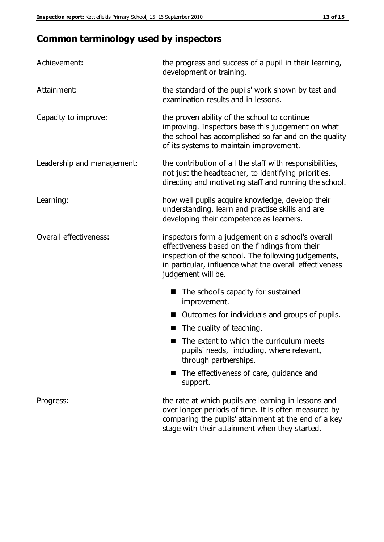# **Common terminology used by inspectors**

| Achievement:               | the progress and success of a pupil in their learning,<br>development or training.                                                                                                                                                          |  |  |
|----------------------------|---------------------------------------------------------------------------------------------------------------------------------------------------------------------------------------------------------------------------------------------|--|--|
| Attainment:                | the standard of the pupils' work shown by test and<br>examination results and in lessons.                                                                                                                                                   |  |  |
| Capacity to improve:       | the proven ability of the school to continue<br>improving. Inspectors base this judgement on what<br>the school has accomplished so far and on the quality<br>of its systems to maintain improvement.                                       |  |  |
| Leadership and management: | the contribution of all the staff with responsibilities,<br>not just the headteacher, to identifying priorities,<br>directing and motivating staff and running the school.                                                                  |  |  |
| Learning:                  | how well pupils acquire knowledge, develop their<br>understanding, learn and practise skills and are<br>developing their competence as learners.                                                                                            |  |  |
| Overall effectiveness:     | inspectors form a judgement on a school's overall<br>effectiveness based on the findings from their<br>inspection of the school. The following judgements,<br>in particular, influence what the overall effectiveness<br>judgement will be. |  |  |
|                            | The school's capacity for sustained<br>improvement.                                                                                                                                                                                         |  |  |
|                            | Outcomes for individuals and groups of pupils.                                                                                                                                                                                              |  |  |
|                            | The quality of teaching.                                                                                                                                                                                                                    |  |  |
|                            | The extent to which the curriculum meets<br>pupils' needs, including, where relevant,<br>through partnerships.                                                                                                                              |  |  |
|                            | The effectiveness of care, guidance and<br>support.                                                                                                                                                                                         |  |  |
| Progress:                  | the rate at which pupils are learning in lessons and<br>over longer periods of time. It is often measured by<br>comparing the pupils' attainment at the end of a key                                                                        |  |  |

stage with their attainment when they started.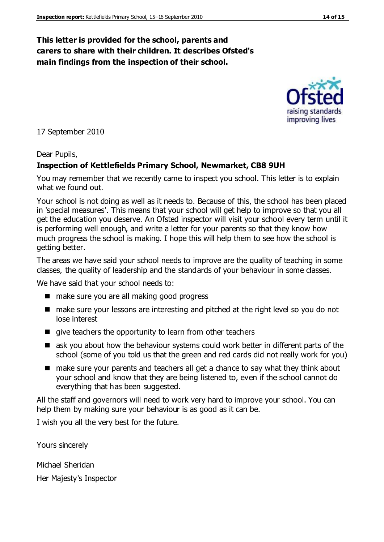#### **This letter is provided for the school, parents and carers to share with their children. It describes Ofsted's main findings from the inspection of their school.**

17 September 2010

#### Dear Pupils,

#### **Inspection of Kettlefields Primary School, Newmarket, CB8 9UH**

You may remember that we recently came to inspect you school. This letter is to explain what we found out.

Your school is not doing as well as it needs to. Because of this, the school has been placed in 'special measures'. This means that your school will get help to improve so that you all get the education you deserve. An Ofsted inspector will visit your school every term until it is performing well enough, and write a letter for your parents so that they know how much progress the school is making. I hope this will help them to see how the school is getting better.

The areas we have said your school needs to improve are the quality of teaching in some classes, the quality of leadership and the standards of your behaviour in some classes.

We have said that your school needs to:

- make sure you are all making good progress
- make sure your lessons are interesting and pitched at the right level so you do not lose interest
- $\blacksquare$  give teachers the opportunity to learn from other teachers
- ask you about how the behaviour systems could work better in different parts of the school (some of you told us that the green and red cards did not really work for you)
- make sure your parents and teachers all get a chance to say what they think about your school and know that they are being listened to, even if the school cannot do everything that has been suggested.

All the staff and governors will need to work very hard to improve your school. You can help them by making sure your behaviour is as good as it can be.

I wish you all the very best for the future.

Yours sincerely

Michael Sheridan

Her Majesty's Inspector